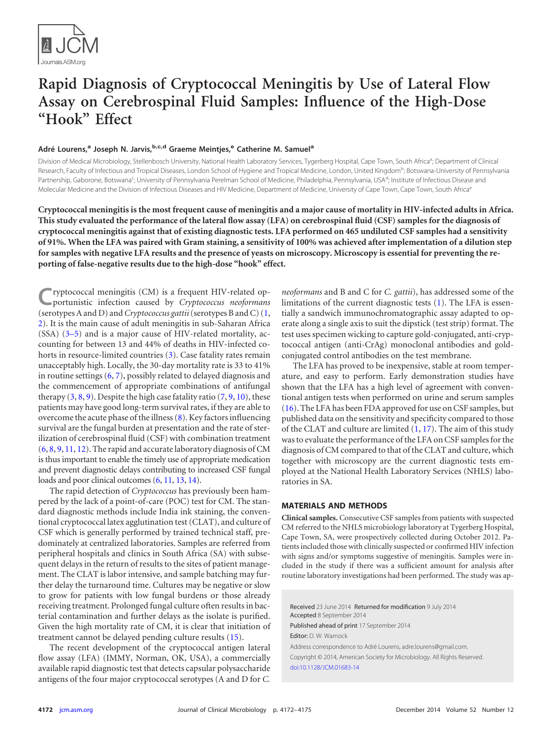

# **Rapid Diagnosis of Cryptococcal Meningitis by Use of Lateral Flow Assay on Cerebrospinal Fluid Samples: Influence of the High-Dose "Hook" Effect**

# **Adré Lourens,<sup>a</sup> Joseph N. Jarvis,b,c,d Graeme Meintjes,<sup>e</sup> Catherine M. Samuel<sup>a</sup>**

Division of Medical Microbiology, Stellenbosch University, National Health Laboratory Services, Tygerberg Hospital, Cape Town, South Africa<sup>a</sup>; Department of Clinical Research, Faculty of Infectious and Tropical Diseases, London School of Hygiene and Tropical Medicine, London, United Kingdom<sup>b</sup>; Botswana-University of Pennsylvania Partnership, Gaborone, Botswana<sup>c</sup>; University of Pennsylvania Perelman School of Medicine, Philadelphia, Pennsylvania, USA<sup>d</sup>; Institute of Infectious Disease and Molecular Medicine and the Division of Infectious Diseases and HIV Medicine, Department of Medicine, University of Cape Town, Cape Town, South Africa<sup>e</sup>

**Cryptococcal meningitis is the most frequent cause of meningitis and a major cause of mortality in HIV-infected adults in Africa. This study evaluated the performance of the lateral flow assay (LFA) on cerebrospinal fluid (CSF) samples for the diagnosis of cryptococcal meningitis against that of existing diagnostic tests. LFA performed on 465 undiluted CSF samples had a sensitivity of 91%. When the LFA was paired with Gram staining, a sensitivity of 100% was achieved after implementation of a dilution step for samples with negative LFA results and the presence of yeasts on microscopy. Microscopy is essential for preventing the reporting of false-negative results due to the high-dose "hook" effect.**

**C**ryptococcal meningitis (CM) is a frequent HIV-related op-portunistic infection caused by *Cryptococcus neoformans* (serotypes A and D) and*Cryptococcus gattii*(serotypes B and C) [\(1,](#page-2-0) [2\)](#page-2-1). It is the main cause of adult meningitis in sub-Saharan Africa (SSA) [\(3](#page-2-2)[–](#page-2-3)[5\)](#page-2-4) and is a major cause of HIV-related mortality, accounting for between 13 and 44% of deaths in HIV-infected co-horts in resource-limited countries [\(3\)](#page-2-2). Case fatality rates remain unacceptably high. Locally, the 30-day mortality rate is 33 to 41% in routine settings [\(6,](#page-3-0) [7\)](#page-3-1), possibly related to delayed diagnosis and the commencement of appropriate combinations of antifungal therapy  $(3, 8, 9)$  $(3, 8, 9)$  $(3, 8, 9)$  $(3, 8, 9)$  $(3, 8, 9)$ . Despite the high case fatality ratio  $(7, 9, 10)$  $(7, 9, 10)$  $(7, 9, 10)$  $(7, 9, 10)$  $(7, 9, 10)$ , these patients may have good long-term survival rates, if they are able to overcome the acute phase of the illness [\(8\)](#page-3-2). Key factors influencing survival are the fungal burden at presentation and the rate of sterilization of cerebrospinal fluid (CSF) with combination treatment [\(6,](#page-3-0) [8,](#page-3-2) [9,](#page-3-3) [11,](#page-3-5) [12\)](#page-3-6). The rapid and accurate laboratory diagnosis of CM is thus important to enable the timely use of appropriate medication and prevent diagnostic delays contributing to increased CSF fungal loads and poor clinical outcomes [\(6,](#page-3-0) [11,](#page-3-5) [13,](#page-3-7) [14\)](#page-3-8).

The rapid detection of *Cryptococcus* has previously been hampered by the lack of a point-of-care (POC) test for CM. The standard diagnostic methods include India ink staining, the conventional cryptococcal latex agglutination test (CLAT), and culture of CSF which is generally performed by trained technical staff, predominately at centralized laboratories. Samples are referred from peripheral hospitals and clinics in South Africa (SA) with subsequent delays in the return of results to the sites of patient management. The CLAT is labor intensive, and sample batching may further delay the turnaround time. Cultures may be negative or slow to grow for patients with low fungal burdens or those already receiving treatment. Prolonged fungal culture often results in bacterial contamination and further delays as the isolate is purified. Given the high mortality rate of CM, it is clear that initiation of treatment cannot be delayed pending culture results [\(15\)](#page-3-9).

The recent development of the cryptococcal antigen lateral flow assay (LFA) (IMMY, Norman, OK, USA), a commercially available rapid diagnostic test that detects capsular polysaccharide antigens of the four major cryptococcal serotypes (A and D for *C.*

*neoformans* and B and C for *C. gattii*), has addressed some of the limitations of the current diagnostic tests [\(1\)](#page-2-0). The LFA is essentially a sandwich immunochromatographic assay adapted to operate along a single axis to suit the dipstick (test strip) format. The test uses specimen wicking to capture gold-conjugated, anti-cryptococcal antigen (anti-CrAg) monoclonal antibodies and goldconjugated control antibodies on the test membrane.

The LFA has proved to be inexpensive, stable at room temperature, and easy to perform. Early demonstration studies have shown that the LFA has a high level of agreement with conventional antigen tests when performed on urine and serum samples [\(16\)](#page-3-10). The LFA has been FDA approved for use on CSF samples, but published data on the sensitivity and specificity compared to those of the CLAT and culture are limited  $(1, 17)$  $(1, 17)$  $(1, 17)$ . The aim of this study was to evaluate the performance of the LFA on CSF samples for the diagnosis of CM compared to that of the CLAT and culture, which together with microscopy are the current diagnostic tests employed at the National Health Laboratory Services (NHLS) laboratories in SA.

### **MATERIALS AND METHODS**

**Clinical samples.** Consecutive CSF samples from patients with suspected CM referred to the NHLS microbiology laboratory at Tygerberg Hospital, Cape Town, SA, were prospectively collected during October 2012. Patients included those with clinically suspected or confirmed HIV infection with signs and/or symptoms suggestive of meningitis. Samples were included in the study if there was a sufficient amount for analysis after routine laboratory investigations had been performed. The study was ap-

Received 23 June 2014 Returned for modification 9 July 2014 Accepted 8 September 2014 Published ahead of print 17 September 2014 Editor: D. W. Warnock Address correspondence to Adré Lourens, adre.lourens@gmail.com. Copyright © 2014, American Society for Microbiology. All Rights Reserved. [doi:10.1128/JCM.01683-14](http://dx.doi.org/10.1128/JCM.01683-14)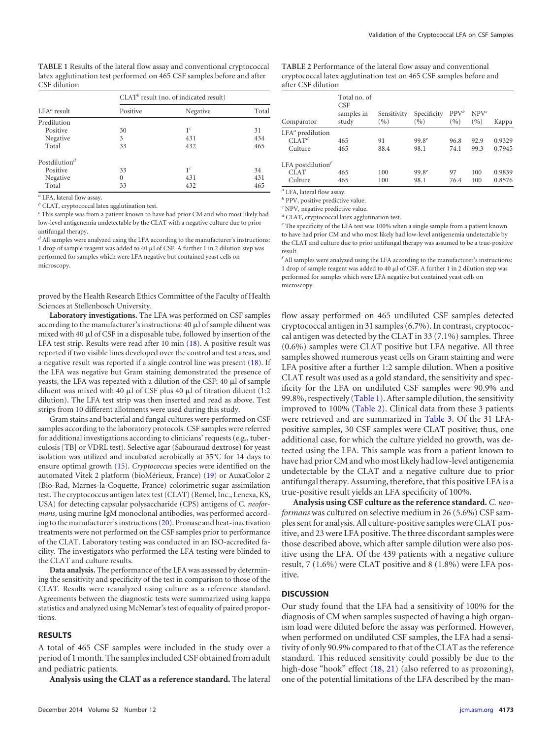<span id="page-1-0"></span>**TABLE 1** Results of the lateral flow assay and conventional cryptococcal latex agglutination test performed on 465 CSF samples before and after CSF dilution

|                           | $CLATb$ result (no. of indicated result) |                |       |  |
|---------------------------|------------------------------------------|----------------|-------|--|
| $LFA^a$ result            | Positive                                 | Negative       | Total |  |
| Predilution               |                                          |                |       |  |
| Positive                  | 30                                       | 1 <sup>c</sup> | 31    |  |
| Negative                  | 3                                        | 431            | 434   |  |
| Total                     | 33                                       | 432            | 465   |  |
| Postdilution <sup>d</sup> |                                          |                |       |  |
| Positive                  | 33                                       | 1 <sup>c</sup> | 34    |  |
| Negative                  | $\Omega$                                 | 431            | 431   |  |
| Total                     | 33                                       | 432            | 465   |  |

*<sup>a</sup>* LFA, lateral flow assay.

*<sup>b</sup>* CLAT, cryptococcal latex agglutination test.

*<sup>c</sup>* This sample was from a patient known to have had prior CM and who most likely had low-level antigenemia undetectable by the CLAT with a negative culture due to prior antifungal therapy.

*<sup>d</sup>* All samples were analyzed using the LFA according to the manufacturer's instructions: 1 drop of sample reagent was added to 40  $\mu$ l of CSF. A further 1 in 2 dilution step was performed for samples which were LFA negative but contained yeast cells on microscopy.

proved by the Health Research Ethics Committee of the Faculty of Health Sciences at Stellenbosch University.

**Laboratory investigations.** The LFA was performed on CSF samples according to the manufacturer's instructions:  $40 \ \mathrm{\mu}$ l of sample diluent was mixed with 40  $\mu$ l of CSF in a disposable tube, followed by insertion of the LFA test strip. Results were read after 10 min [\(18\)](#page-3-12). A positive result was reported if two visible lines developed over the control and test areas, and a negative result was reported if a single control line was present [\(18\)](#page-3-12). If the LFA was negative but Gram staining demonstrated the presence of yeasts, the LFA was repeated with a dilution of the CSF: 40  $\mu$ l of sample diluent was mixed with 40  $\mu$ l of CSF plus 40  $\mu$ l of titration diluent (1:2 dilution). The LFA test strip was then inserted and read as above. Test strips from 10 different allotments were used during this study.

Gram stains and bacterial and fungal cultures were performed on CSF samples according to the laboratory protocols. CSF samples were referred for additional investigations according to clinicians' requests (e.g., tuberculosis [TB] or VDRL test). Selective agar (Sabouraud dextrose) for yeast isolation was utilized and incubated aerobically at 35°C for 14 days to ensure optimal growth [\(15\)](#page-3-9). *Cryptococcus* species were identified on the automated Vitek 2 platform (bioMérieux, France) [\(19\)](#page-3-13) or AuxaColor 2 (Bio-Rad, Marnes-la-Coquette, France) colorimetric sugar assimilation test. The cryptococcus antigen latex test (CLAT) (Remel, Inc., Lenexa, KS, USA) for detecting capsular polysaccharide (CPS) antigens of C. *neoformans*, using murine IgM monoclonal antibodies, was performed according to the manufacturer's instructions [\(20\)](#page-3-14). Pronase and heat-inactivation treatments were not performed on the CSF samples prior to performance of the CLAT. Laboratory testing was conducted in an ISO-accredited facility. The investigators who performed the LFA testing were blinded to the CLAT and culture results.

**Data analysis.** The performance of the LFA was assessed by determining the sensitivity and specificity of the test in comparison to those of the CLAT. Results were reanalyzed using culture as a reference standard. Agreements between the diagnostic tests were summarized using kappa statistics and analyzed using McNemar's test of equality of paired proportions.

### **RESULTS**

A total of 465 CSF samples were included in the study over a period of 1 month. The samples included CSF obtained from adult and pediatric patients.

**Analysis using the CLAT as a reference standard.** The lateral

<span id="page-1-1"></span>**TABLE 2** Performance of the lateral flow assay and conventional cryptococcal latex agglutination test on 465 CSF samples before and after CSF dilution

| Comparator           | Total no. of<br>CSE<br>samples in<br>study | Sensitivity<br>(9/0) | Specificity<br>(9) | $PPV^b$<br>(9/0) | $NPV^c$<br>(9/6) | Kappa  |
|----------------------|--------------------------------------------|----------------------|--------------------|------------------|------------------|--------|
| $LFA^a$ predilution  |                                            |                      |                    |                  |                  |        |
| CLAT <sup>d</sup>    | 465                                        | 91                   | $99.8^{e}$         | 96.8             | 92.9             | 0.9329 |
| Culture              | 465                                        | 88.4                 | 98.1               | 74.1             | 99.3             | 0.7945 |
| LFA postdilution $f$ |                                            |                      |                    |                  |                  |        |
| <b>CLAT</b>          | 465                                        | 100                  | $99.8^{e}$         | 97               | 100              | 0.9839 |
| Culture              | 465                                        | 100                  | 98.1               | 76.4             | 100              | 0.8576 |

*<sup>a</sup>* LFA, lateral flow assay.

*<sup>b</sup>* PPV, positive predictive value.

*<sup>c</sup>* NPV, negative predictive value.

*<sup>d</sup>* CLAT, cryptococcal latex agglutination test.

*<sup>e</sup>* The specificity of the LFA test was 100% when a single sample from a patient known to have had prior CM and who most likely had low-level antigenemia undetectable by the CLAT and culture due to prior antifungal therapy was assumed to be a true-positive result.

*f* All samples were analyzed using the LFA according to the manufacturer's instructions: 1 drop of sample reagent was added to 40  $\mu$ l of CSF. A further 1 in 2 dilution step was performed for samples which were LFA negative but contained yeast cells on microscopy.

flow assay performed on 465 undiluted CSF samples detected cryptococcal antigen in 31 samples (6.7%). In contrast, cryptococcal antigen was detected by the CLAT in 33 (7.1%) samples. Three (0.6%) samples were CLAT positive but LFA negative. All three samples showed numerous yeast cells on Gram staining and were LFA positive after a further 1:2 sample dilution. When a positive CLAT result was used as a gold standard, the sensitivity and specificity for the LFA on undiluted CSF samples were 90.9% and 99.8%, respectively [\(Table 1\)](#page-1-0). After sample dilution, the sensitivity improved to 100% [\(Table 2\)](#page-1-1). Clinical data from these 3 patients were retrieved and are summarized in [Table 3.](#page-2-5) Of the 31 LFApositive samples, 30 CSF samples were CLAT positive; thus, one additional case, for which the culture yielded no growth, was detected using the LFA. This sample was from a patient known to have had prior CM and who most likely had low-level antigenemia undetectable by the CLAT and a negative culture due to prior antifungal therapy. Assuming, therefore, that this positive LFA is a true-positive result yields an LFA specificity of 100%.

**Analysis using CSF culture as the reference standard.** *C. neoformans* was cultured on selective medium in 26 (5.6%) CSF samples sent for analysis. All culture-positive samples were CLAT positive, and 23 were LFA positive. The three discordant samples were those described above, which after sample dilution were also positive using the LFA. Of the 439 patients with a negative culture result, 7 (1.6%) were CLAT positive and 8 (1.8%) were LFA positive.

## **DISCUSSION**

Our study found that the LFA had a sensitivity of 100% for the diagnosis of CM when samples suspected of having a high organism load were diluted before the assay was performed. However, when performed on undiluted CSF samples, the LFA had a sensitivity of only 90.9% compared to that of the CLAT as the reference standard. This reduced sensitivity could possibly be due to the high-dose "hook" effect [\(18,](#page-3-12) [21\)](#page-3-15) (also referred to as prozoning), one of the potential limitations of the LFA described by the man-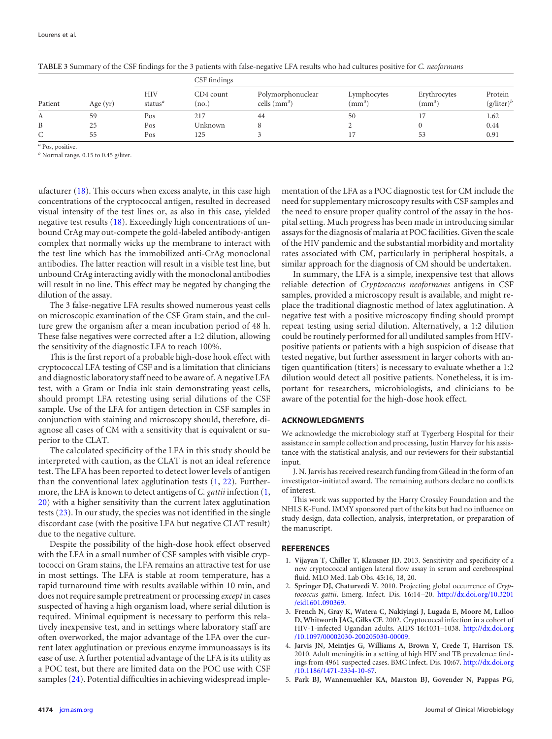|         |            |                   | CSF findings       |                                        |                                   |                              |                          |  |
|---------|------------|-------------------|--------------------|----------------------------------------|-----------------------------------|------------------------------|--------------------------|--|
| Patient | Age $(yr)$ | HIV<br>status $a$ | CD4 count<br>(no.) | Polymorphonuclear<br>cells $\rm(mm^3)$ | Lymphocytes<br>(mm <sup>3</sup> ) | Erythrocytes<br>$\text{m}^3$ | Protein<br>$(g/liter)^b$ |  |
| А       | 59         | Pos               | 217                | 44                                     | 50                                |                              | 1.62                     |  |
| B       | 25         | Pos               | Unknown            |                                        |                                   |                              | 0.44                     |  |
| C       | 55         | Pos               | 125                |                                        |                                   | 53                           | 0.91                     |  |

<span id="page-2-5"></span>**TABLE 3** Summary of the CSF findings for the 3 patients with false-negative LFA results who had cultures positive for *C. neoformans*

*<sup>a</sup>* Pos, positive.

*<sup>b</sup>* Normal range, 0.15 to 0.45 g/liter.

ufacturer [\(18\)](#page-3-12). This occurs when excess analyte, in this case high concentrations of the cryptococcal antigen, resulted in decreased visual intensity of the test lines or, as also in this case, yielded negative test results [\(18\)](#page-3-12). Exceedingly high concentrations of unbound CrAg may out-compete the gold-labeled antibody-antigen complex that normally wicks up the membrane to interact with the test line which has the immobilized anti-CrAg monoclonal antibodies. The latter reaction will result in a visible test line, but unbound CrAg interacting avidly with the monoclonal antibodies will result in no line. This effect may be negated by changing the dilution of the assay.

The 3 false-negative LFA results showed numerous yeast cells on microscopic examination of the CSF Gram stain, and the culture grew the organism after a mean incubation period of 48 h. These false negatives were corrected after a 1:2 dilution, allowing the sensitivity of the diagnostic LFA to reach 100%.

This is the first report of a probable high-dose hook effect with cryptococcal LFA testing of CSF and is a limitation that clinicians and diagnostic laboratory staff need to be aware of. A negative LFA test, with a Gram or India ink stain demonstrating yeast cells, should prompt LFA retesting using serial dilutions of the CSF sample. Use of the LFA for antigen detection in CSF samples in conjunction with staining and microscopy should, therefore, diagnose all cases of CM with a sensitivity that is equivalent or superior to the CLAT.

The calculated specificity of the LFA in this study should be interpreted with caution, as the CLAT is not an ideal reference test. The LFA has been reported to detect lower levels of antigen than the conventional latex agglutination tests [\(1,](#page-2-0) [22\)](#page-3-16). Furthermore, the LFA is known to detect antigens of *C. gattii* infection [\(1,](#page-2-0) [20\)](#page-3-14) with a higher sensitivity than the current latex agglutination tests [\(23\)](#page-3-17). In our study, the species was not identified in the single discordant case (with the positive LFA but negative CLAT result) due to the negative culture.

Despite the possibility of the high-dose hook effect observed with the LFA in a small number of CSF samples with visible cryptococci on Gram stains, the LFA remains an attractive test for use in most settings. The LFA is stable at room temperature, has a rapid turnaround time with results available within 10 min, and does not require sample pretreatment or processing *except* in cases suspected of having a high organism load, where serial dilution is required. Minimal equipment is necessary to perform this relatively inexpensive test, and in settings where laboratory staff are often overworked, the major advantage of the LFA over the current latex agglutination or previous enzyme immunoassays is its ease of use. A further potential advantage of the LFA is its utility as a POC test, but there are limited data on the POC use with CSF samples [\(24\)](#page-3-18). Potential difficulties in achieving widespread implementation of the LFA as a POC diagnostic test for CM include the need for supplementary microscopy results with CSF samples and the need to ensure proper quality control of the assay in the hospital setting. Much progress has been made in introducing similar assays for the diagnosis of malaria at POC facilities. Given the scale of the HIV pandemic and the substantial morbidity and mortality rates associated with CM, particularly in peripheral hospitals, a similar approach for the diagnosis of CM should be undertaken.

In summary, the LFA is a simple, inexpensive test that allows reliable detection of *Cryptococcus neoformans* antigens in CSF samples, provided a microscopy result is available, and might replace the traditional diagnostic method of latex agglutination. A negative test with a positive microscopy finding should prompt repeat testing using serial dilution. Alternatively, a 1:2 dilution could be routinely performed for all undiluted samples from HIVpositive patients or patients with a high suspicion of disease that tested negative, but further assessment in larger cohorts with antigen quantification (titers) is necessary to evaluate whether a 1:2 dilution would detect all positive patients. Nonetheless, it is important for researchers, microbiologists, and clinicians to be aware of the potential for the high-dose hook effect.

#### **ACKNOWLEDGMENTS**

We acknowledge the microbiology staff at Tygerberg Hospital for their assistance in sample collection and processing, Justin Harvey for his assistance with the statistical analysis, and our reviewers for their substantial input.

J. N. Jarvis has received research funding from Gilead in the form of an investigator-initiated award. The remaining authors declare no conflicts of interest.

This work was supported by the Harry Crossley Foundation and the NHLS K-Fund. IMMY sponsored part of the kits but had no influence on study design, data collection, analysis, interpretation, or preparation of the manuscript.

#### <span id="page-2-0"></span>**REFERENCES**

- <span id="page-2-1"></span>1. **Vijayan T, Chiller T, Klausner JD.** 2013. Sensitivity and specificity of a new cryptococcal antigen lateral flow assay in serum and cerebrospinal fluid. MLO Med. Lab Obs. **45:**16, 18, 20.
- <span id="page-2-2"></span>2. **Springer DJ, Chaturvedi V.** 2010. Projecting global occurrence of *Cryptococcus gattii*. Emerg. Infect. Dis. **16:**14 –20. [http://dx.doi.org/10.3201](http://dx.doi.org/10.3201/eid1601.090369) [/eid1601.090369.](http://dx.doi.org/10.3201/eid1601.090369)
- 3. **French N, Gray K, Watera C, Nakiyingi J, Lugada E, Moore M, Lalloo D, Whitworth JAG, Gilks CF.** 2002. Cryptococcal infection in a cohort of HIV-1-infected Ugandan adults. AIDS **16:**1031–1038. [http://dx.doi.org](http://dx.doi.org/10.1097/00002030-200205030-00009) [/10.1097/00002030-200205030-00009.](http://dx.doi.org/10.1097/00002030-200205030-00009)
- <span id="page-2-3"></span>4. **Jarvis JN, Meintjes G, Williams A, Brown Y, Crede T, Harrison TS.** 2010. Adult meningitis in a setting of high HIV and TB prevalence: findings from 4961 suspected cases. BMC Infect. Dis. **10:**67. [http://dx.doi.org](http://dx.doi.org/10.1186/1471-2334-10-67) [/10.1186/1471-2334-10-67.](http://dx.doi.org/10.1186/1471-2334-10-67)
- <span id="page-2-4"></span>5. **Park BJ, Wannemuehler KA, Marston BJ, Govender N, Pappas PG,**